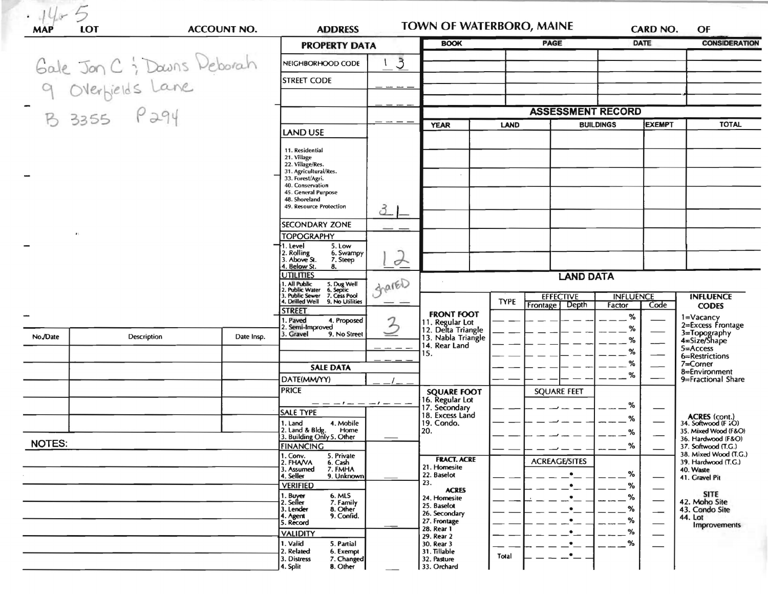| <b>MAP</b>    | LOT<br><b>ACCOUNT NO.</b>                                      |                   | <b>ADDRESS</b>                                                                 |               | TOWN OF WATERBORO, MAINE              |             |                                   | CARD NO.         |                      | OF                                                                  |  |
|---------------|----------------------------------------------------------------|-------------------|--------------------------------------------------------------------------------|---------------|---------------------------------------|-------------|-----------------------------------|------------------|----------------------|---------------------------------------------------------------------|--|
|               |                                                                |                   | <b>PROPERTY DATA</b>                                                           | <b>BOOK</b>   |                                       | <b>PAGE</b> | <b>DATE</b>                       |                  | <b>CONSIDERATION</b> |                                                                     |  |
|               | Gale Jon C & Downs Deborah<br>9 Overbields Lane<br>B 3355 P294 | NEIGHBORHOOD CODE | $\mathcal{S}$                                                                  |               |                                       |             |                                   |                  |                      |                                                                     |  |
|               |                                                                |                   | <b>STREET CODE</b>                                                             |               |                                       |             |                                   |                  |                      |                                                                     |  |
|               |                                                                |                   |                                                                                |               |                                       |             |                                   |                  |                      |                                                                     |  |
|               |                                                                |                   | <b>ASSESSMENT RECORD</b>                                                       |               |                                       |             |                                   |                  |                      |                                                                     |  |
|               |                                                                | <b>LAND USE</b>   |                                                                                | <b>YEAR</b>   | LAND                                  |             | <b>EXEMPT</b><br><b>BUILDINGS</b> |                  | <b>TOTAL</b>         |                                                                     |  |
|               |                                                                |                   | 11. Residential                                                                |               |                                       |             |                                   |                  |                      |                                                                     |  |
|               |                                                                |                   | 21. Village<br>22. Village/Res.                                                |               |                                       |             |                                   |                  |                      |                                                                     |  |
|               |                                                                |                   | 31. Agricultural/Res.<br>33. Forest/Agri.<br>40. Conservation                  |               |                                       |             |                                   |                  |                      |                                                                     |  |
|               |                                                                |                   | 45. General Purpose<br>48. Shoreland                                           |               |                                       |             |                                   |                  |                      |                                                                     |  |
|               |                                                                |                   | 49. Resource Protection                                                        | 3_            |                                       |             |                                   |                  |                      |                                                                     |  |
|               |                                                                |                   | <b>SECONDARY ZONE</b>                                                          |               |                                       |             |                                   |                  |                      |                                                                     |  |
| $\bullet$ :   |                                                                |                   | <b>TOPOGRAPHY</b><br>1. Level<br>5. Low                                        |               |                                       |             |                                   |                  |                      |                                                                     |  |
|               |                                                                |                   | 2. Rolling<br>6. Swampy<br>3. Above St.<br>7. Steep<br>4. Below St.<br>8.      | $\rightarrow$ |                                       |             |                                   |                  |                      |                                                                     |  |
|               |                                                                |                   | <b>UTILITIES</b><br>. All Public                                               |               |                                       |             | <b>LAND DATA</b>                  |                  |                      |                                                                     |  |
|               |                                                                |                   | 5. Dug Well<br>6. Septic<br>2. Public Water<br>3. Public Sewer<br>7. Cess Pool | grared        |                                       |             | <b>EFFECTIVE</b>                  | <b>INFLUENCE</b> |                      | <b>INFLUENCE</b>                                                    |  |
|               |                                                                |                   | 4. Drilled Well<br>9. No Utilities<br><b>STREET</b>                            |               | <b>FRONT FOOT</b>                     | <b>TYPE</b> | Frontage   Depth                  | Factor           | Code                 | <b>CODES</b>                                                        |  |
|               |                                                                |                   | . Paved<br>4. Proposed<br>Semi-Improved                                        |               | 11. Regular Lot<br>12. Delta Triangle |             |                                   | %<br>%           |                      | 1=Vacancy<br>2=Excess Frontage                                      |  |
| No./Date      | Description                                                    | Date Insp.        | 3. Gravel<br>9. No Street                                                      |               | 13. Nabla Triangle<br>14. Rear Land   |             |                                   | %                |                      | 3=Topography<br>4=Size/Shape                                        |  |
|               |                                                                |                   |                                                                                |               | IS.                                   |             |                                   | %                |                      | $5 =$ Access<br>6=Restrictions                                      |  |
|               |                                                                |                   | <b>SALE DATA</b>                                                               |               |                                       |             |                                   | %                |                      | $7 =$ Corner<br>8=Environment                                       |  |
|               |                                                                |                   | DATE(MM/YY)                                                                    |               |                                       |             |                                   | %                |                      | 9=Fractional Share                                                  |  |
|               |                                                                |                   | <b>PRICE</b>                                                                   |               | <b>SQUARE FOOT</b><br>16. Regular Lot |             | <b>SQUARE FEET</b>                |                  |                      |                                                                     |  |
|               |                                                                |                   | <b>SALE TYPE</b>                                                               |               | 17. Secondary<br>18. Excess Land      |             |                                   | %                |                      |                                                                     |  |
|               |                                                                |                   | 1. Land<br>4. Mobile<br>2. Land & Bldg.<br>Home                                |               | 19. Condo.<br>20.                     |             |                                   | %<br>%           |                      | <b>ACRES</b> (cont.)<br>34. Softwood (F :O)<br>35. Mixed Wood (F&O) |  |
| <b>NOTES:</b> |                                                                |                   | 3. Building Only 5. Other<br><b>FINANCING</b>                                  |               |                                       |             |                                   | %                |                      | 36. Hardwood (F&O)                                                  |  |
|               |                                                                |                   | 5. Private<br>1. Conv.                                                         |               | <b>FRACT. ACRE</b>                    |             |                                   |                  |                      | 37. Softwood (T.G.)<br>38. Mixed Wood (T.G.)                        |  |
|               |                                                                |                   | 2. FHAVA<br>6. Cash<br>7. FMHA<br>3. Assumed<br>9. Unknown<br>4. Seller        |               | 21. Homesite<br>22. Baselot           |             | <b>ACREAGE/SITES</b><br>$\bullet$ | %                |                      | 39. Hardwood (T.G.)<br>40. Waste                                    |  |
|               |                                                                |                   | <b>VERIFIED</b>                                                                |               | 23.<br><b>ACRES</b>                   |             |                                   | %                |                      | 41. Gravel Pit                                                      |  |
|               |                                                                |                   | 1. Buyer<br>6. MLS<br>2. Seller<br>7. Family                                   |               | 24. Homesite                          |             |                                   | %                |                      | <b>SITE</b><br>42. Moho Site                                        |  |
|               |                                                                |                   | 3. Lender<br>8. Other<br>9. Confid.<br>4. Agent                                |               | 25. Baselot<br>26. Secondary          |             |                                   | %                | --                   | 43. Condo Site<br>44. Lot                                           |  |
|               |                                                                |                   | 5. Record                                                                      |               | 27. Frontage<br>28. Rear 1            |             |                                   | %<br>%           |                      | Improvements                                                        |  |
|               |                                                                |                   | <b>VALIDITY</b><br>1. Valid<br>5. Partial                                      |               | 29. Rear 2<br>30. Rear 3              |             |                                   | %                |                      |                                                                     |  |
|               |                                                                |                   | 2. Related<br>6. Exempt<br>3. Distress<br>7. Changed                           |               | 31. Tillable<br>32. Pasture           | Total       |                                   |                  |                      |                                                                     |  |
|               |                                                                |                   | 8. Other<br>4. Split                                                           |               | 33. Orchard                           |             |                                   |                  |                      |                                                                     |  |